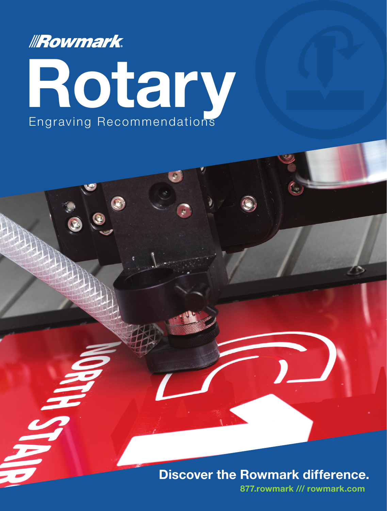



## Discover the Rowmark difference.

877.rowmark /// rowmark.com